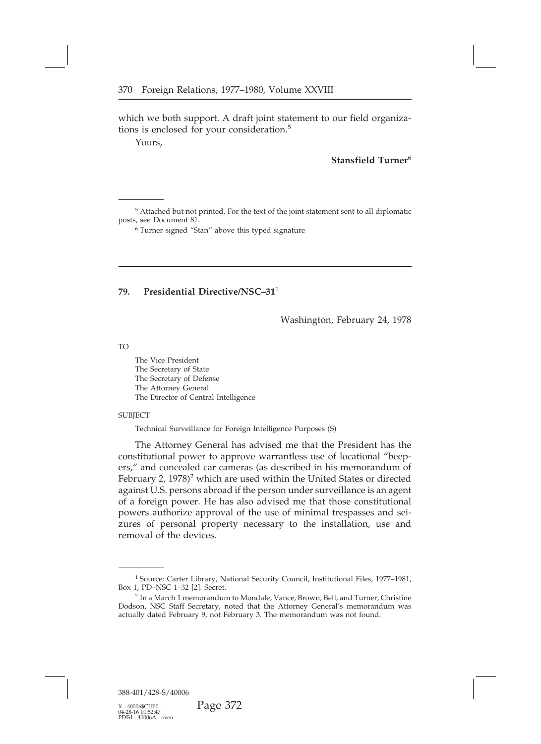## **79. Presidential Directive/NSC–31**<sup>1</sup>

Washington, February 24, 1978

TO

The Vice President<br>The Secretary of State<br>The Secretary of Defense The Vice President<br>The Secretary of State<br>The Secretary of Defense<br>The Attorney General The Vice President<br>The Secretary of State<br>The Secretary of Defense<br>The Attorney General<br>The Director of Central Intelligenc The Vice President<br>The Secretary of State<br>The Secretary of Defense<br>The Attorney General<br>The Director of Central Inte The Vice President<br>The Secretary of State<br>The Secretary of Defense<br>The Attorney General<br>The Director of Central Intelligence<br>ECT

**SUBJECT** 

The Secretary of Defense<br>
The Attorney General<br>
The Director of Central Intelligence<br>
SUBJECT<br>
Technical Surveillance for Foreign Intelligence Purposes (S)<br>
The Attorney General has advised me that the President has the<br>
c The Attorney General<br>
The Director of Central Intelligence<br>
ECT<br>
Technical Surveillance for Foreign Intelligence Purposes (S)<br>
The Attorney General has advised me that the President has the<br>
stitutional power to approve wa ers," and concealed car cameras (as described in his memorandum of February 2, 1978)<sup>2</sup> which are used within the United States or directed SUBJECT<br>
Technical Surveillance for Foreign Intelligence Purposes (S)<br>
The Attorney General has advised me that the President has the<br>
constitutional power to approve warrantless use of locational "beep-<br>
ers," and conceal Technical Surveillance for Foreign Intelligence Purposes (S)<br>The Attorney General has advised me that the President has the<br>constitutional power to approve warrantless use of locational "beep-<br>ers," and concealed car camer The Attorney General has advised me that the President has the constitutional power to approve warrantless use of locational "beep-<br>ers," and concealed car cameras (as described in his memorandum of<br>February 2, 1978)<sup>2</sup> wh The Attorney General has advised me that the President has the constitutional power to approve warrantless use of locational "beepers," and concealed car cameras (as described in his memorandum of February 2, 1978)<sup>2</sup> whic constitutional power to approve warrantless use of locational "beep-<br>ers," and concealed car cameras (as described in his memorandum of<br>February 2, 1978)<sup>2</sup> which are used within the United States or directed<br>against U.S. ers," and concealed car cameras (as described in his memorandum of February 2, 1978)<sup>2</sup> which are used within the United States or directed against U.S. persons abroad if the person under surveillance is an agent of a fore February 2, 1978)<sup>2</sup> which are<br>against U.S. persons abroad i<br>of a foreign power. He has<br>powers authorize approval<br>zures of personal property<br>removal of the devices.

oval of the devices.<br>
1 Source: Carter Library, National Security Council, Institutional Files, 1977–1981,<br>
1, PD–NSC 1–32 [2]. Secret.<br>
<sup>2</sup> In a March 1 memorandum to Mondale, Vance, Brown, Bell, and Turner, Christine

<sup>&</sup>lt;sup>1</sup> Source: Carter Library, National Security Council, Institutional Files, 1977–1981,<br>Box 1, PD–NSC 1–32 [2]. Secret.<br><sup>2</sup> In a March 1 memorandum to Mondale, Vance, Brown, Bell, and Turner, Christine<br>Dodson, NSC Staff Sec <sup>1</sup> Source: Carter Library, National Security Council, Institutional Files, 1977–1981,<br>Box 1, PD–NSC 1–32 [2]. Secret.<br><sup>2</sup> In a March 1 memorandum to Mondale, Vance, Brown, Bell, and Turner, Christine<br>Dodson, NSC Staff Sec <sup>1</sup> Source: Carter Library, National Security Council, Institutional Files, 1977–1<br>Box 1, PD–NSC 1–32 [2]. Secret.<br><sup>2</sup> In a March 1 memorandum to Mondale, Vance, Brown, Bell, and Turner, Chris<br>Dodson, NSC Staff Secretary,